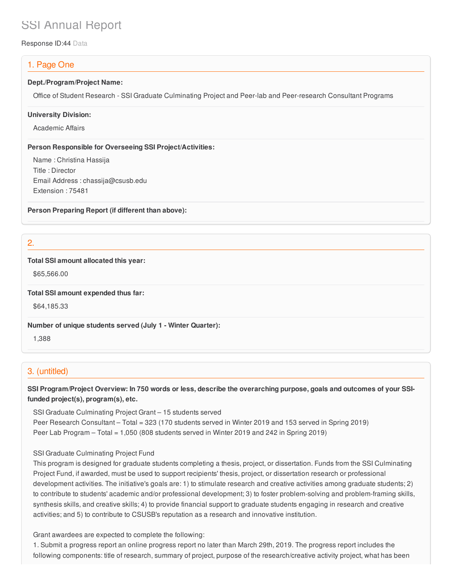# SSI Annual Report

Response ID:44 Data

# 1. Page One

#### **Dept./Program/Project Name:**

Office of Student Research - SSI Graduate Culminating Project and Peer-lab and Peer-research Consultant Programs

#### **University Division:**

Academic Affairs

#### **Person Responsible for Overseeing SSI Project/Activities:**

Name : Christina Hassija Title : Director Email Address : chassija@csusb.edu Extension : 75481

**Person Preparing Report (if different than above):**

2.

#### **Total SSI amount allocated this year:**

\$65,566.00

**Total SSI amount expended thus far:**

\$64,185.33

**Number of unique students served (July 1 - Winter Quarter):**

1,388

# 3. (untitled)

SSI Program/Project Overview: In 750 words or less, describe the overarching purpose, goals and outcomes of your SSI**funded project(s), program(s), etc.**

SSI Graduate Culminating Project Grant – 15 students served Peer Research Consultant – Total = 323 (170 students served in Winter 2019 and 153 served in Spring 2019) Peer Lab Program – Total = 1,050 (808 students served in Winter 2019 and 242 in Spring 2019)

### SSI Graduate Culminating Project Fund

This program is designed for graduate students completing a thesis, project, or dissertation. Funds from the SSI Culminating Project Fund, if awarded, must be used to support recipients' thesis, project, or dissertation research or professional development activities. The initiative's goals are: 1) to stimulate research and creative activities among graduate students; 2) to contribute to students' academic and/or professional development; 3) to foster problem-solving and problem-framing skills, synthesis skills, and creative skills; 4) to provide financial support to graduate students engaging in research and creative activities; and 5) to contribute to CSUSB's reputation as a research and innovative institution.

Grant awardees are expected to complete the following:

1. Submit a progress report an online progress report no later than March 29th, 2019. The progress report includes the following components: title of research, summary of project, purpose of the research/creative activity project, what has been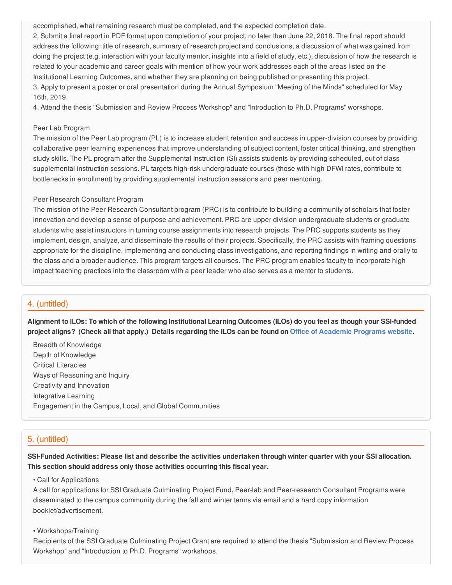accomplished, what remaining research must be completed, and the expected completion date.

2. Submit a final report in PDF format upon completion of your project, no later than June 22, 2018. The final report should address the following: title of research, summary of research project and conclusions, a discussion of what was gained from doing the project (e.g. interaction with your faculty mentor, insights into a field of study, etc.), discussion of how the research is related to your academic and career goals with mention of how your work addresses each of the areas listed on the Institutional Learning Outcomes, and whether they are planning on being published or presenting this project. 3. Apply to present a poster or oral presentation during the Annual Symposium "Meeting of the Minds" scheduled for May 16th, 2019.

4. Attend the thesis "Submission and Review Process Workshop" and "Introduction to Ph.D. Programs" workshops.

#### Peer Lab Program

The mission of the Peer Lab program (PL) is to increase student retention and success in upper-division courses by providing collaborative peer learning experiences that improve understanding of subject content, foster critical thinking, and strengthen study skills. The PL program after the Supplemental Instruction (SI) assists students by providing scheduled, out of class supplemental instruction sessions. PL targets high-risk undergraduate courses (those with high DFWI rates, contribute to bottlenecks in enrollment) by providing supplemental instruction sessions and peer mentoring.

#### Peer Research Consultant Program

The mission of the Peer Research Consultant program (PRC) is to contribute to building a community of scholars that foster innovation and develop a sense of purpose and achievement. PRC are upper division undergraduate students or graduate students who assist instructors in turning course assignments into research projects. The PRC supports students as they implement, design, analyze, and disseminate the results of their projects. Specifically, the PRC assists with framing questions appropriate for the discipline, implementing and conducting class investigations, and reporting findings in writing and orally to the class and a broader audience. This program targets all courses. The PRC program enables faculty to incorporate high impact teaching practices into the classroom with a peer leader who also serves as a mentor to students.

# 4. (untitled)

Alignment to ILOs: To which of the following Institutional Learning Outcomes (ILOs) do you feel as though your SSI-funded project aligns? (Check all that apply.) Details regarding the ILOs can be found on Office of [Academic](https://www.csusb.edu/sites/csusb/files/CSUSB_Institutional_Learning_Outcomes-Endorsed.pdf) Programs website.

Breadth of Knowledge Depth of Knowledge Critical Literacies Ways of Reasoning and Inquiry Creativity and Innovation Integrative Learning Engagement in the Campus, Local, and Global Communities

# 5. (untitled)

SSI-Funded Activities: Please list and describe the activities undertaken through winter quarter with your SSI allocation. **This section should address only those activities occurring this fiscal year.**

• Call for Applications

A call for applications for SSI Graduate Culminating Project Fund, Peer-lab and Peer-research Consultant Programs were disseminated to the campus community during the fall and winter terms via email and a hard copy information booklet/advertisement.

#### • Workshops/Training

Recipients of the SSI Graduate Culminating Project Grant are required to attend the thesis "Submission and Review Process Workshop" and "Introduction to Ph.D. Programs" workshops.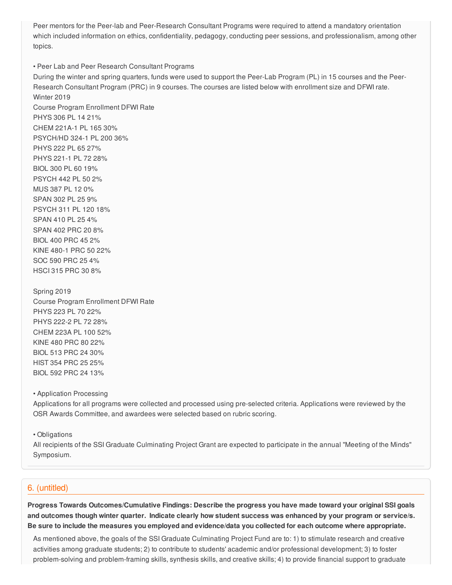Peer mentors for the Peer-lab and Peer-Research Consultant Programs were required to attend a mandatory orientation which included information on ethics, confidentiality, pedagogy, conducting peer sessions, and professionalism, among other topics.

• Peer Lab and Peer Research Consultant Programs During the winter and spring quarters, funds were used to support the Peer-Lab Program (PL) in 15 courses and the Peer-Research Consultant Program (PRC) in 9 courses. The courses are listed below with enrollment size and DFWI rate. Winter 2019 Course Program Enrollment DFWI Rate PHYS 306 PL 14 21% CHEM 221A-1 PL 165 30% PSYCH/HD 324-1 PL 200 36% PHYS 222 PL 65 27% PHYS 221-1 PL 72 28% BIOL 300 PL 60 19% PSYCH 442 PL 50 2% MUS 387 PL 12 0% SPAN 302 PL 25 9% PSYCH 311 PL 120 18% SPAN 410 PL 25 4% SPAN 402 PRC 20 8% BIOL 400 PRC 45 2% KINE 480-1 PRC 50 22% SOC 590 PRC 25 4% HSCI 315 PRC 30 8%

Spring 2019 Course Program Enrollment DFWI Rate PHYS 223 PL 70 22% PHYS 222-2 PL 72 28% CHEM 223A PL 100 52% KINE 480 PRC 80 22% BIOL 513 PRC 24 30% HIST 354 PRC 25 25% BIOL 592 PRC 24 13%

• Application Processing

Applications for all programs were collected and processed using pre-selected criteria. Applications were reviewed by the OSR Awards Committee, and awardees were selected based on rubric scoring.

• Obligations

All recipients of the SSI Graduate Culminating Project Grant are expected to participate in the annual "Meeting of the Minds" Symposium.

## 6. (untitled)

**Progress Towards Outcomes/Cumulative Findings: Describe the progress you have made toward your original SSI goals** and outcomes though winter quarter. Indicate clearly how student success was enhanced by your program or service/s. Be sure to include the measures you employed and evidence/data you collected for each outcome where appropriate.

As mentioned above, the goals of the SSI Graduate Culminating Project Fund are to: 1) to stimulate research and creative activities among graduate students; 2) to contribute to students' academic and/or professional development; 3) to foster problem-solving and problem-framing skills, synthesis skills, and creative skills; 4) to provide financial support to graduate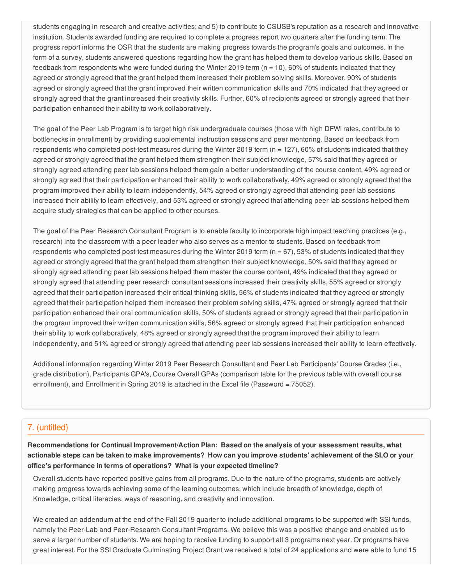students engaging in research and creative activities; and 5) to contribute to CSUSB's reputation as a research and innovative institution. Students awarded funding are required to complete a progress report two quarters after the funding term. The progress report informs the OSR that the students are making progress towards the program's goals and outcomes. In the form of a survey, students answered questions regarding how the grant has helped them to develop various skills. Based on feedback from respondents who were funded during the Winter 2019 term ( $n = 10$ ), 60% of students indicated that they agreed or strongly agreed that the grant helped them increased their problem solving skills. Moreover, 90% of students agreed or strongly agreed that the grant improved their written communication skills and 70% indicated that they agreed or strongly agreed that the grant increased their creativity skills. Further, 60% of recipients agreed or strongly agreed that their participation enhanced their ability to work collaboratively.

The goal of the Peer Lab Program is to target high risk undergraduate courses (those with high DFWI rates, contribute to bottlenecks in enrollment) by providing supplemental instruction sessions and peer mentoring. Based on feedback from respondents who completed post-test measures during the Winter 2019 term (n = 127), 60% of students indicated that they agreed or strongly agreed that the grant helped them strengthen their subject knowledge, 57% said that they agreed or strongly agreed attending peer lab sessions helped them gain a better understanding of the course content, 49% agreed or strongly agreed that their participation enhanced their ability to work collaboratively, 49% agreed or strongly agreed that the program improved their ability to learn independently, 54% agreed or strongly agreed that attending peer lab sessions increased their ability to learn effectively, and 53% agreed or strongly agreed that attending peer lab sessions helped them acquire study strategies that can be applied to other courses.

The goal of the Peer Research Consultant Program is to enable faculty to incorporate high impact teaching practices (e.g., research) into the classroom with a peer leader who also serves as a mentor to students. Based on feedback from respondents who completed post-test measures during the Winter 2019 term  $(n = 67)$ , 53% of students indicated that they agreed or strongly agreed that the grant helped them strengthen their subject knowledge, 50% said that they agreed or strongly agreed attending peer lab sessions helped them master the course content, 49% indicated that they agreed or strongly agreed that attending peer research consultant sessions increased their creativity skills, 55% agreed or strongly agreed that their participation increased their critical thinking skills, 56% of students indicated that they agreed or strongly agreed that their participation helped them increased their problem solving skills, 47% agreed or strongly agreed that their participation enhanced their oral communication skills, 50% of students agreed or strongly agreed that their participation in the program improved their written communication skills, 56% agreed or strongly agreed that their participation enhanced their ability to work collaboratively, 48% agreed or strongly agreed that the program improved their ability to learn independently, and 51% agreed or strongly agreed that attending peer lab sessions increased their ability to learn effectively.

Additional information regarding Winter 2019 Peer Research Consultant and Peer Lab Participants' Course Grades (i.e., grade distribution), Participants GPA's, Course Overall GPAs (comparison table for the previous table with overall course enrollment), and Enrollment in Spring 2019 is attached in the Excel file (Password = 75052).

# 7. (untitled)

**Recommendations for Continual Improvement/Action Plan: Based on the analysis of your assessment results, what** actionable steps can be taken to make improvements? How can you improve students' achievement of the SLO or your **office's performance in terms of operations? What is your expected timeline?**

Overall students have reported positive gains from all programs. Due to the nature of the programs, students are actively making progress towards achieving some of the learning outcomes, which include breadth of knowledge, depth of Knowledge, critical literacies, ways of reasoning, and creativity and innovation.

We created an addendum at the end of the Fall 2019 quarter to include additional programs to be supported with SSI funds, namely the Peer-Lab and Peer-Research Consultant Programs. We believe this was a positive change and enabled us to serve a larger number of students. We are hoping to receive funding to support all 3 programs next year. Or programs have great interest. For the SSI Graduate Culminating Project Grant we received a total of 24 applications and were able to fund 15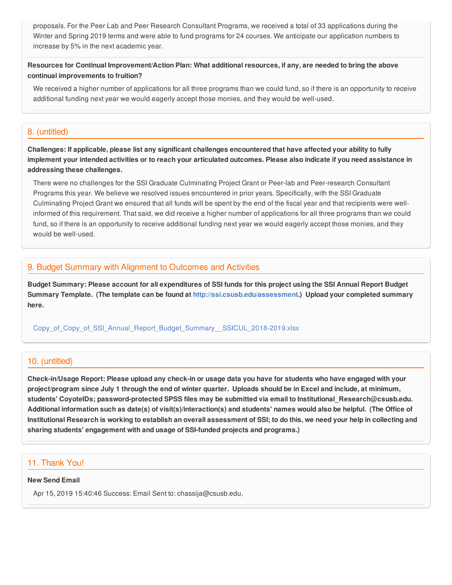proposals. For the Peer Lab and Peer Research Consultant Programs, we received a total of 33 applications during the Winter and Spring 2019 terms and were able to fund programs for 24 courses. We anticipate our application numbers to increase by 5% in the next academic year.

## Resources for Continual Improvement/Action Plan: What additional resources, if any, are needed to bring the above **continual improvements to fruition?**

We received a higher number of applications for all three programs than we could fund, so if there is an opportunity to receive additional funding next year we would eagerly accept those monies, and they would be well-used.

# 8. (untitled)

Challenges: If applicable, please list any significant challenges encountered that have affected your ability to fully implement your intended activities or to reach your articulated outcomes. Please also indicate if you need assistance in **addressing these challenges.**

There were no challenges for the SSI Graduate Culminating Project Grant or Peer-lab and Peer-research Consultant Programs this year. We believe we resolved issues encountered in prior years. Specifically, with the SSI Graduate Culminating Project Grant we ensured that all funds will be spent by the end of the fiscal year and that recipients were wellinformed of this requirement. That said, we did receive a higher number of applications for all three programs than we could fund, so if there is an opportunity to receive additional funding next year we would eagerly accept those monies, and they would be well-used.

## 9. Budget Summary with Alignment to Outcomes and Activities

Budget Summary: Please account for all expenditures of SSI funds for this project using the SSI Annual Report Budget **Summary Template. (The template can be found at <http://ssi.csusb.edu/assessment>.) Upload your completed summary here.**

[Copy\\_of\\_Copy\\_of\\_SSI\\_Annual\\_Report\\_Budget\\_Summary\\_\\_SSICUL\\_2018-2019.xlsx](https://surveygizmoresponseuploads.s3.amazonaws.com/fileuploads/98679/3939151/184-30b74a66f9d31ec86b8841ee0d977b1d_Copy_of_Copy_of_SSI_Annual_Report_Budget_Summary__SSICUL_2018-2019.xlsx)

## 10. (untitled)

Check-in/Usage Report: Please upload any check-in or usage data you have for students who have engaged with your project/program since July 1 through the end of winter quarter. Uploads should be in Excel and include, at minimum, **students' CoyoteIDs; password-protected SPSS files may be submitted via email to Institutional\_Research@csusb.edu.** Additional information such as date(s) of visit(s)/interaction(s) and students' names would also be helpful. (The Office of Institutional Research is working to establish an overall assessment of SSI; to do this, we need your help in collecting and **sharing students' engagement with and usage of SSI-funded projects and programs.)**

## 11. Thank You!

#### **New Send Email**

Apr 15, 2019 15:40:46 Success: Email Sent to: chassija@csusb.edu,